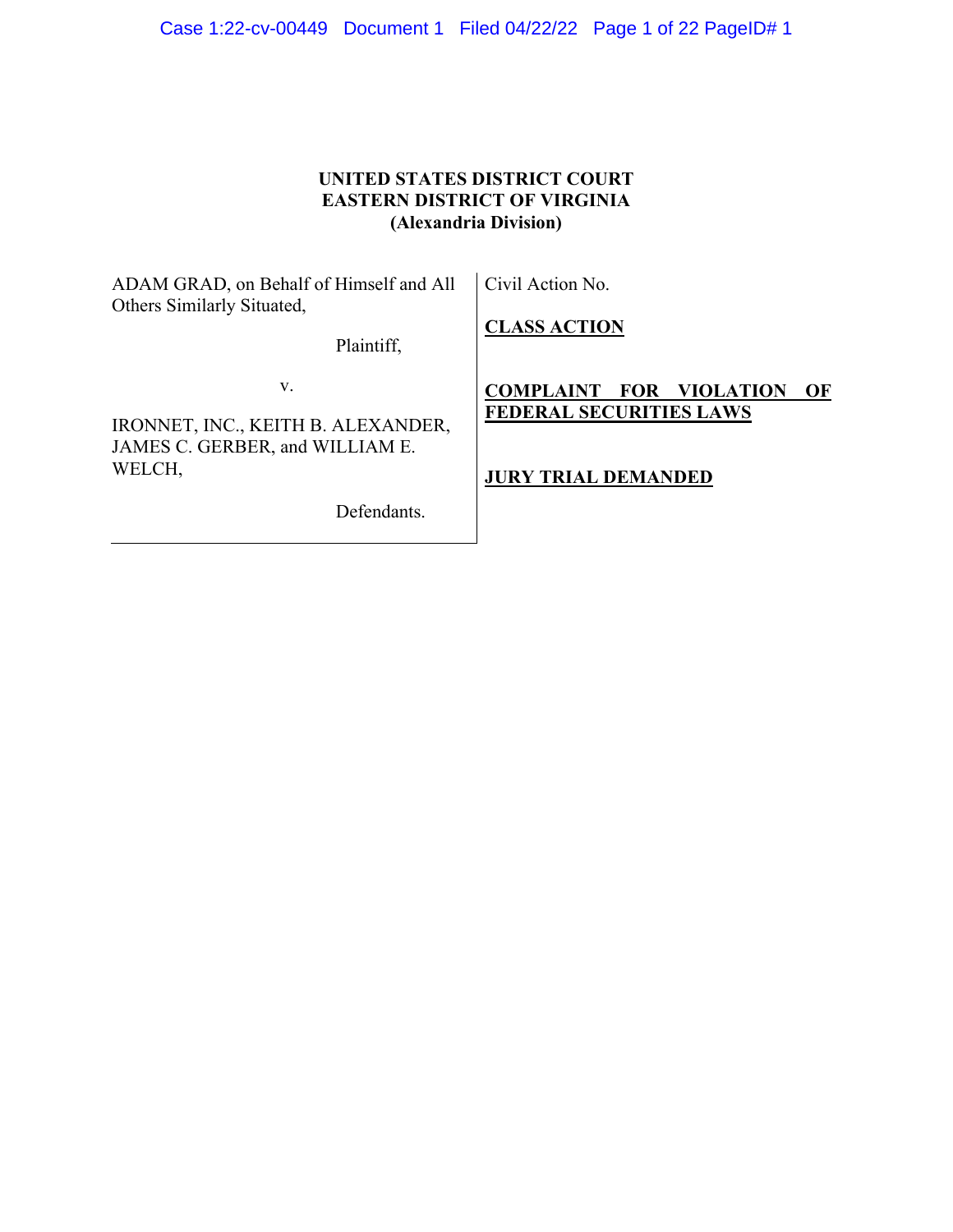| Case 1:22-cv-00449  Document 1  Filed 04/22/22  Page 1 of 22  PageID# 1 |  |  |
|-------------------------------------------------------------------------|--|--|
|                                                                         |  |  |

# **UNITED STATES DISTRICT COURT EASTERN DISTRICT OF VIRGINIA (Alexandria Division)**

| ADAM GRAD, on Behalf of Himself and All<br>Others Similarly Situated,       | Civil Action No.                                                                    |
|-----------------------------------------------------------------------------|-------------------------------------------------------------------------------------|
| Plaintiff,                                                                  | <b>CLASS ACTION</b>                                                                 |
| V.<br>IRONNET, INC., KEITH B. ALEXANDER,<br>JAMES C. GERBER, and WILLIAM E. | <b>COMPLAINT</b><br>FOR<br><b>VIOLATION</b><br>OF<br><b>FEDERAL SECURITIES LAWS</b> |
| WELCH,<br>Defendants.                                                       | <b>JURY TRIAL DEMANDED</b>                                                          |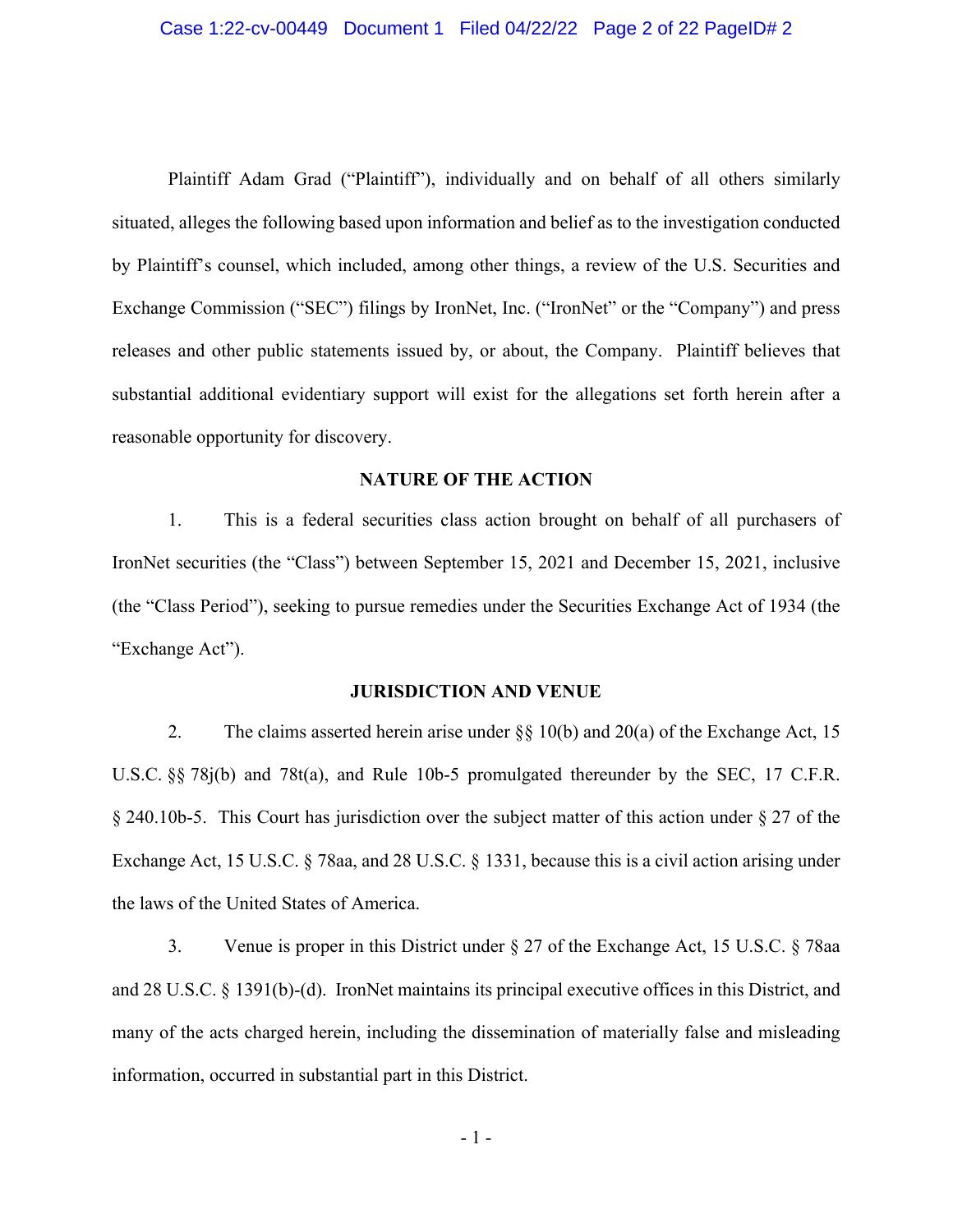#### Case 1:22-cv-00449 Document 1 Filed 04/22/22 Page 2 of 22 PageID# 2

Plaintiff Adam Grad ("Plaintiff"), individually and on behalf of all others similarly situated, alleges the following based upon information and belief as to the investigation conducted by Plaintiff's counsel, which included, among other things, a review of the U.S. Securities and Exchange Commission ("SEC") filings by IronNet, Inc. ("IronNet" or the "Company") and press releases and other public statements issued by, or about, the Company. Plaintiff believes that substantial additional evidentiary support will exist for the allegations set forth herein after a reasonable opportunity for discovery.

### **NATURE OF THE ACTION**

1. This is a federal securities class action brought on behalf of all purchasers of IronNet securities (the "Class") between September 15, 2021 and December 15, 2021, inclusive (the "Class Period"), seeking to pursue remedies under the Securities Exchange Act of 1934 (the "Exchange Act").

#### **JURISDICTION AND VENUE**

2. The claims asserted herein arise under §§ 10(b) and 20(a) of the Exchange Act, 15 U.S.C. §§ 78j(b) and 78t(a), and Rule 10b-5 promulgated thereunder by the SEC, 17 C.F.R. § 240.10b-5. This Court has jurisdiction over the subject matter of this action under § 27 of the Exchange Act, 15 U.S.C. § 78aa, and 28 U.S.C. § 1331, because this is a civil action arising under the laws of the United States of America.

3. Venue is proper in this District under § 27 of the Exchange Act, 15 U.S.C. § 78aa and 28 U.S.C. § 1391(b)-(d). IronNet maintains its principal executive offices in this District, and many of the acts charged herein, including the dissemination of materially false and misleading information, occurred in substantial part in this District.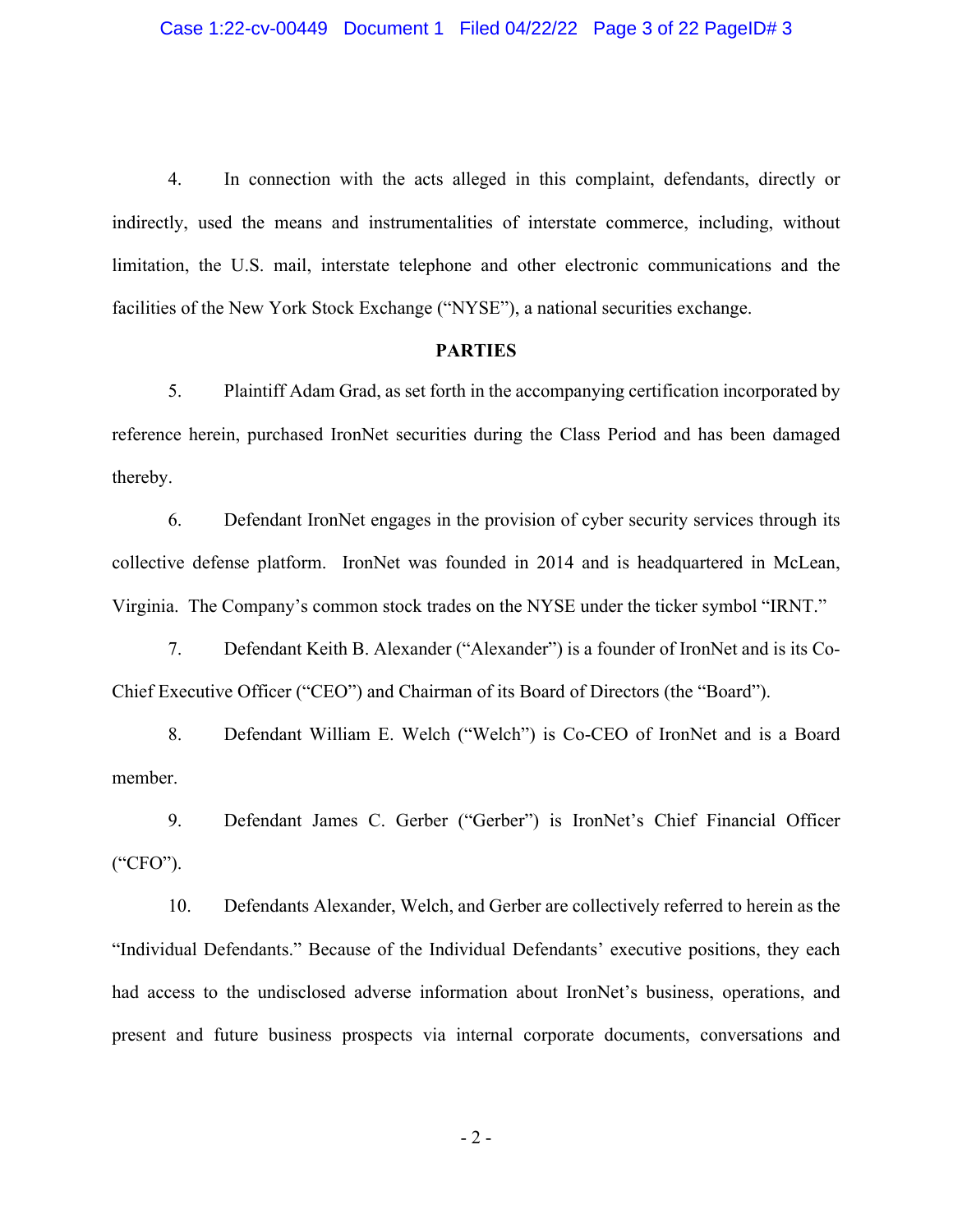4. In connection with the acts alleged in this complaint, defendants, directly or indirectly, used the means and instrumentalities of interstate commerce, including, without limitation, the U.S. mail, interstate telephone and other electronic communications and the facilities of the New York Stock Exchange ("NYSE"), a national securities exchange.

## **PARTIES**

5. Plaintiff Adam Grad, as set forth in the accompanying certification incorporated by reference herein, purchased IronNet securities during the Class Period and has been damaged thereby.

6. Defendant IronNet engages in the provision of cyber security services through its collective defense platform. IronNet was founded in 2014 and is headquartered in McLean, Virginia. The Company's common stock trades on the NYSE under the ticker symbol "IRNT."

7. Defendant Keith B. Alexander ("Alexander") is a founder of IronNet and is its Co-Chief Executive Officer ("CEO") and Chairman of its Board of Directors (the "Board").

8. Defendant William E. Welch ("Welch") is Co-CEO of IronNet and is a Board member.

9. Defendant James C. Gerber ("Gerber") is IronNet's Chief Financial Officer ("CFO").

10. Defendants Alexander, Welch, and Gerber are collectively referred to herein as the "Individual Defendants." Because of the Individual Defendants' executive positions, they each had access to the undisclosed adverse information about IronNet's business, operations, and present and future business prospects via internal corporate documents, conversations and

- 2 -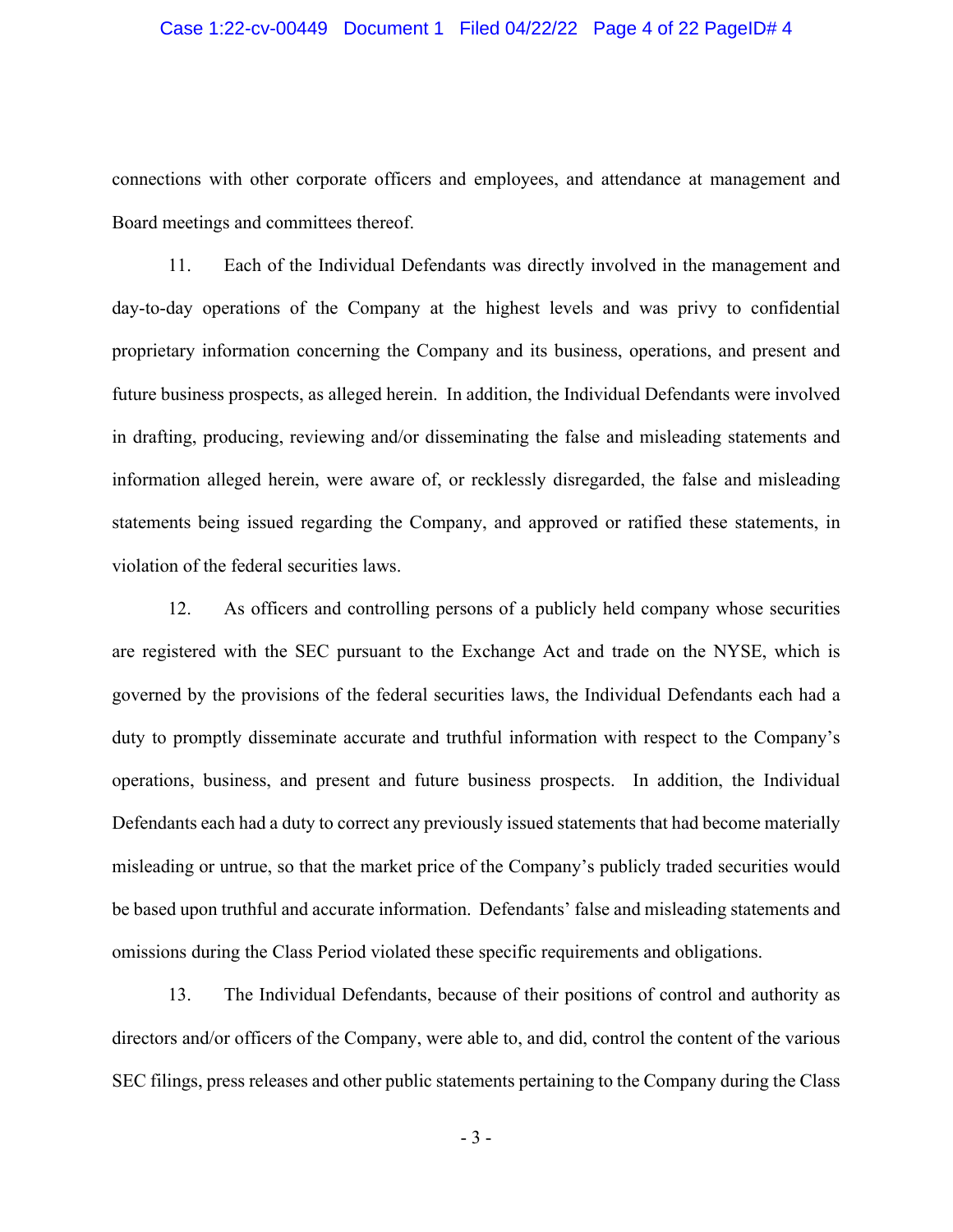#### Case 1:22-cv-00449 Document 1 Filed 04/22/22 Page 4 of 22 PageID# 4

connections with other corporate officers and employees, and attendance at management and Board meetings and committees thereof.

11. Each of the Individual Defendants was directly involved in the management and day-to-day operations of the Company at the highest levels and was privy to confidential proprietary information concerning the Company and its business, operations, and present and future business prospects, as alleged herein. In addition, the Individual Defendants were involved in drafting, producing, reviewing and/or disseminating the false and misleading statements and information alleged herein, were aware of, or recklessly disregarded, the false and misleading statements being issued regarding the Company, and approved or ratified these statements, in violation of the federal securities laws.

12. As officers and controlling persons of a publicly held company whose securities are registered with the SEC pursuant to the Exchange Act and trade on the NYSE, which is governed by the provisions of the federal securities laws, the Individual Defendants each had a duty to promptly disseminate accurate and truthful information with respect to the Company's operations, business, and present and future business prospects. In addition, the Individual Defendants each had a duty to correct any previously issued statements that had become materially misleading or untrue, so that the market price of the Company's publicly traded securities would be based upon truthful and accurate information. Defendants' false and misleading statements and omissions during the Class Period violated these specific requirements and obligations.

13. The Individual Defendants, because of their positions of control and authority as directors and/or officers of the Company, were able to, and did, control the content of the various SEC filings, press releases and other public statements pertaining to the Company during the Class

- 3 -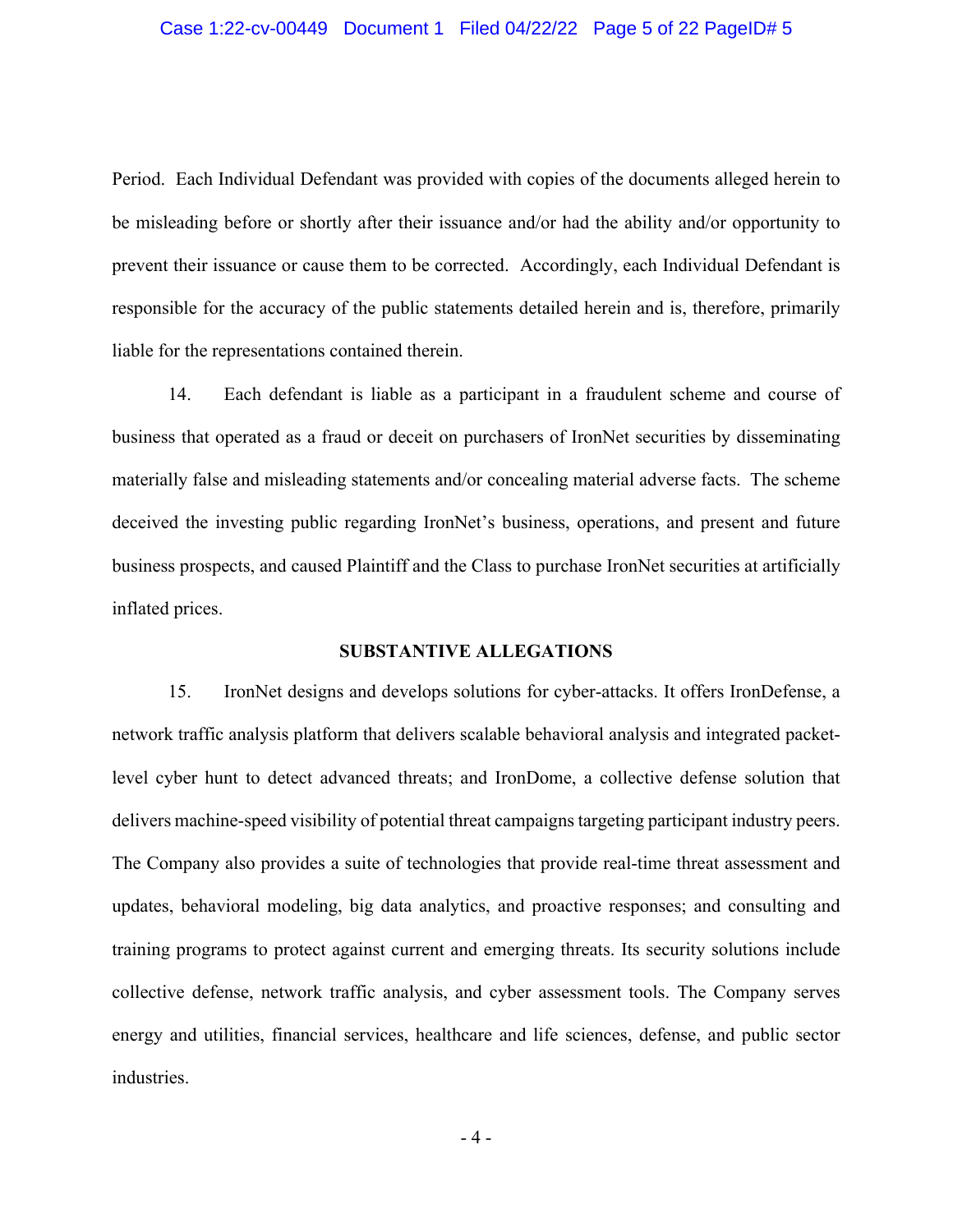#### Case 1:22-cv-00449 Document 1 Filed 04/22/22 Page 5 of 22 PageID# 5

Period. Each Individual Defendant was provided with copies of the documents alleged herein to be misleading before or shortly after their issuance and/or had the ability and/or opportunity to prevent their issuance or cause them to be corrected. Accordingly, each Individual Defendant is responsible for the accuracy of the public statements detailed herein and is, therefore, primarily liable for the representations contained therein.

14. Each defendant is liable as a participant in a fraudulent scheme and course of business that operated as a fraud or deceit on purchasers of IronNet securities by disseminating materially false and misleading statements and/or concealing material adverse facts. The scheme deceived the investing public regarding IronNet's business, operations, and present and future business prospects, and caused Plaintiff and the Class to purchase IronNet securities at artificially inflated prices.

### **SUBSTANTIVE ALLEGATIONS**

15. IronNet designs and develops solutions for cyber-attacks. It offers IronDefense, a network traffic analysis platform that delivers scalable behavioral analysis and integrated packetlevel cyber hunt to detect advanced threats; and IronDome, a collective defense solution that delivers machine-speed visibility of potential threat campaigns targeting participant industry peers. The Company also provides a suite of technologies that provide real-time threat assessment and updates, behavioral modeling, big data analytics, and proactive responses; and consulting and training programs to protect against current and emerging threats. Its security solutions include collective defense, network traffic analysis, and cyber assessment tools. The Company serves energy and utilities, financial services, healthcare and life sciences, defense, and public sector industries.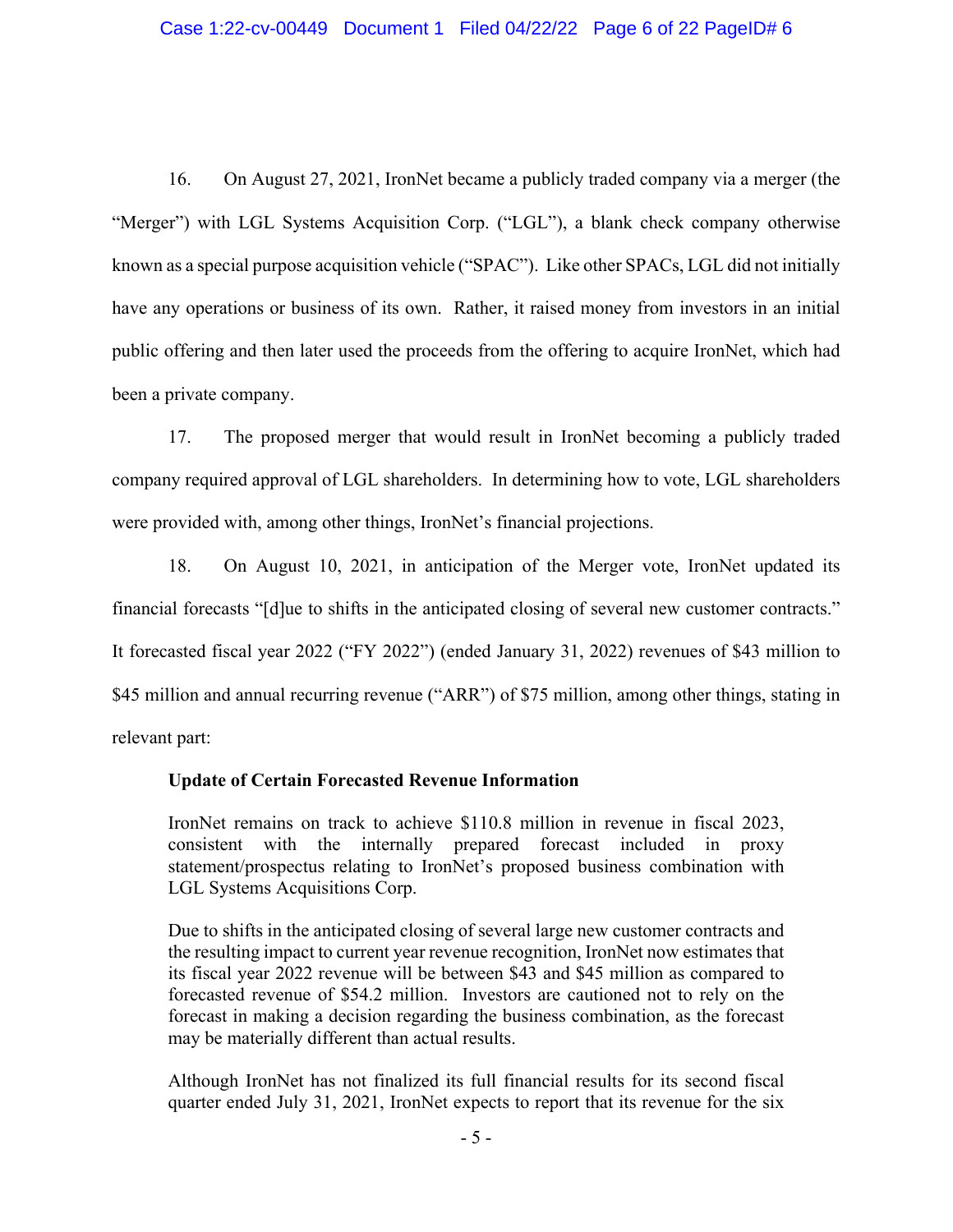#### Case 1:22-cv-00449 Document 1 Filed 04/22/22 Page 6 of 22 PageID# 6

16. On August 27, 2021, IronNet became a publicly traded company via a merger (the "Merger") with LGL Systems Acquisition Corp. ("LGL"), a blank check company otherwise known as a special purpose acquisition vehicle ("SPAC"). Like other SPACs, LGL did not initially have any operations or business of its own. Rather, it raised money from investors in an initial public offering and then later used the proceeds from the offering to acquire IronNet, which had been a private company.

17. The proposed merger that would result in IronNet becoming a publicly traded company required approval of LGL shareholders. In determining how to vote, LGL shareholders were provided with, among other things, IronNet's financial projections.

18. On August 10, 2021, in anticipation of the Merger vote, IronNet updated its financial forecasts "[d]ue to shifts in the anticipated closing of several new customer contracts." It forecasted fiscal year 2022 ("FY 2022") (ended January 31, 2022) revenues of \$43 million to \$45 million and annual recurring revenue ("ARR") of \$75 million, among other things, stating in relevant part:

### **Update of Certain Forecasted Revenue Information**

IronNet remains on track to achieve \$110.8 million in revenue in fiscal 2023, consistent with the internally prepared forecast included in proxy statement/prospectus relating to IronNet's proposed business combination with LGL Systems Acquisitions Corp.

Due to shifts in the anticipated closing of several large new customer contracts and the resulting impact to current year revenue recognition, IronNet now estimates that its fiscal year 2022 revenue will be between \$43 and \$45 million as compared to forecasted revenue of \$54.2 million. Investors are cautioned not to rely on the forecast in making a decision regarding the business combination, as the forecast may be materially different than actual results.

Although IronNet has not finalized its full financial results for its second fiscal quarter ended July 31, 2021, IronNet expects to report that its revenue for the six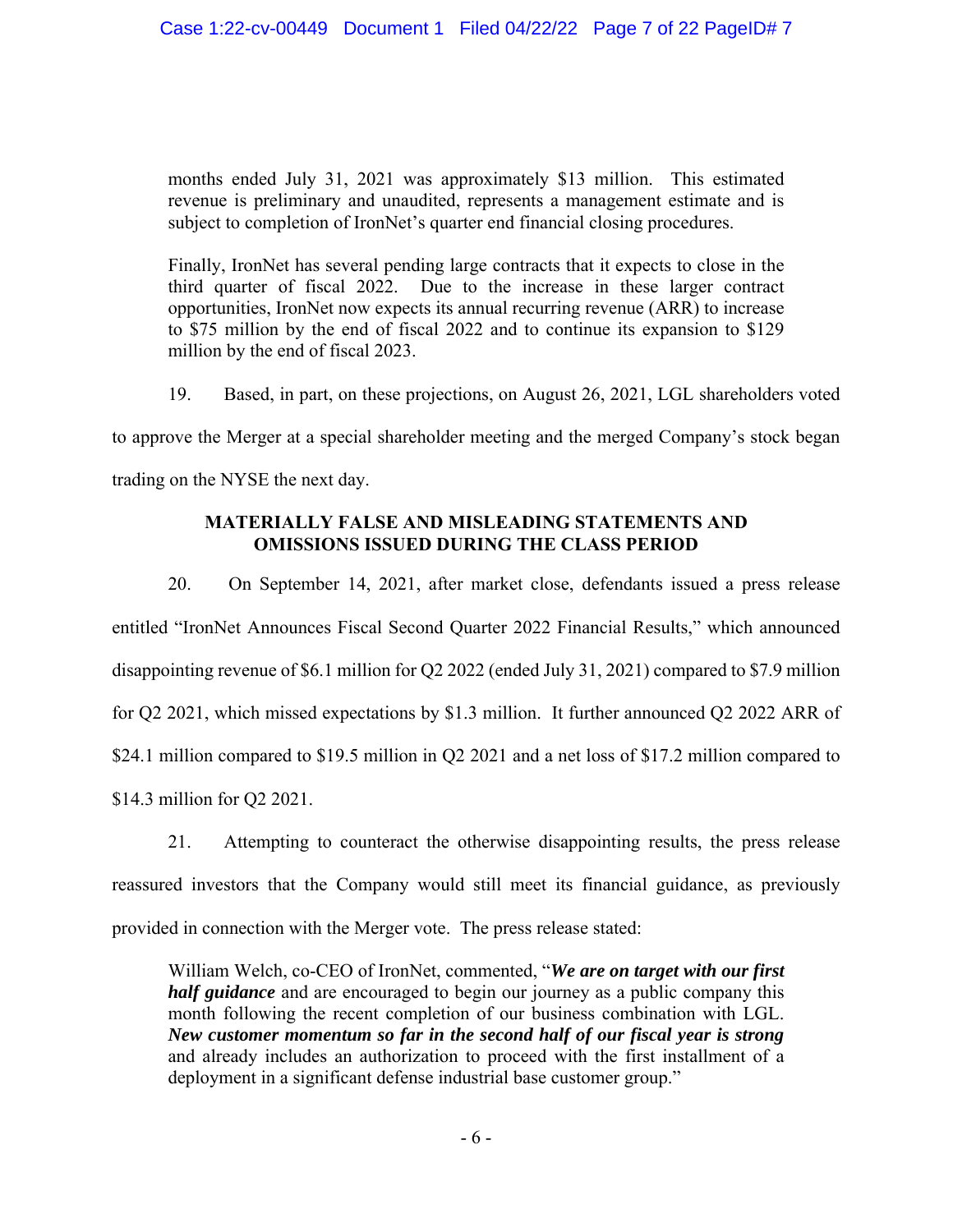months ended July 31, 2021 was approximately \$13 million. This estimated revenue is preliminary and unaudited, represents a management estimate and is subject to completion of IronNet's quarter end financial closing procedures.

Finally, IronNet has several pending large contracts that it expects to close in the third quarter of fiscal 2022. Due to the increase in these larger contract opportunities, IronNet now expects its annual recurring revenue (ARR) to increase to \$75 million by the end of fiscal 2022 and to continue its expansion to \$129 million by the end of fiscal 2023.

19. Based, in part, on these projections, on August 26, 2021, LGL shareholders voted

to approve the Merger at a special shareholder meeting and the merged Company's stock began

trading on the NYSE the next day.

# **MATERIALLY FALSE AND MISLEADING STATEMENTS AND OMISSIONS ISSUED DURING THE CLASS PERIOD**

20. On September 14, 2021, after market close, defendants issued a press release entitled "IronNet Announces Fiscal Second Quarter 2022 Financial Results," which announced disappointing revenue of \$6.1 million for Q2 2022 (ended July 31, 2021) compared to \$7.9 million for Q2 2021, which missed expectations by \$1.3 million. It further announced Q2 2022 ARR of \$24.1 million compared to \$19.5 million in Q2 2021 and a net loss of \$17.2 million compared to \$14.3 million for Q2 2021.

21. Attempting to counteract the otherwise disappointing results, the press release reassured investors that the Company would still meet its financial guidance, as previously provided in connection with the Merger vote. The press release stated:

William Welch, co-CEO of IronNet, commented, "*We are on target with our first half guidance* and are encouraged to begin our journey as a public company this month following the recent completion of our business combination with LGL. *New customer momentum so far in the second half of our fiscal year is strong* and already includes an authorization to proceed with the first installment of a deployment in a significant defense industrial base customer group."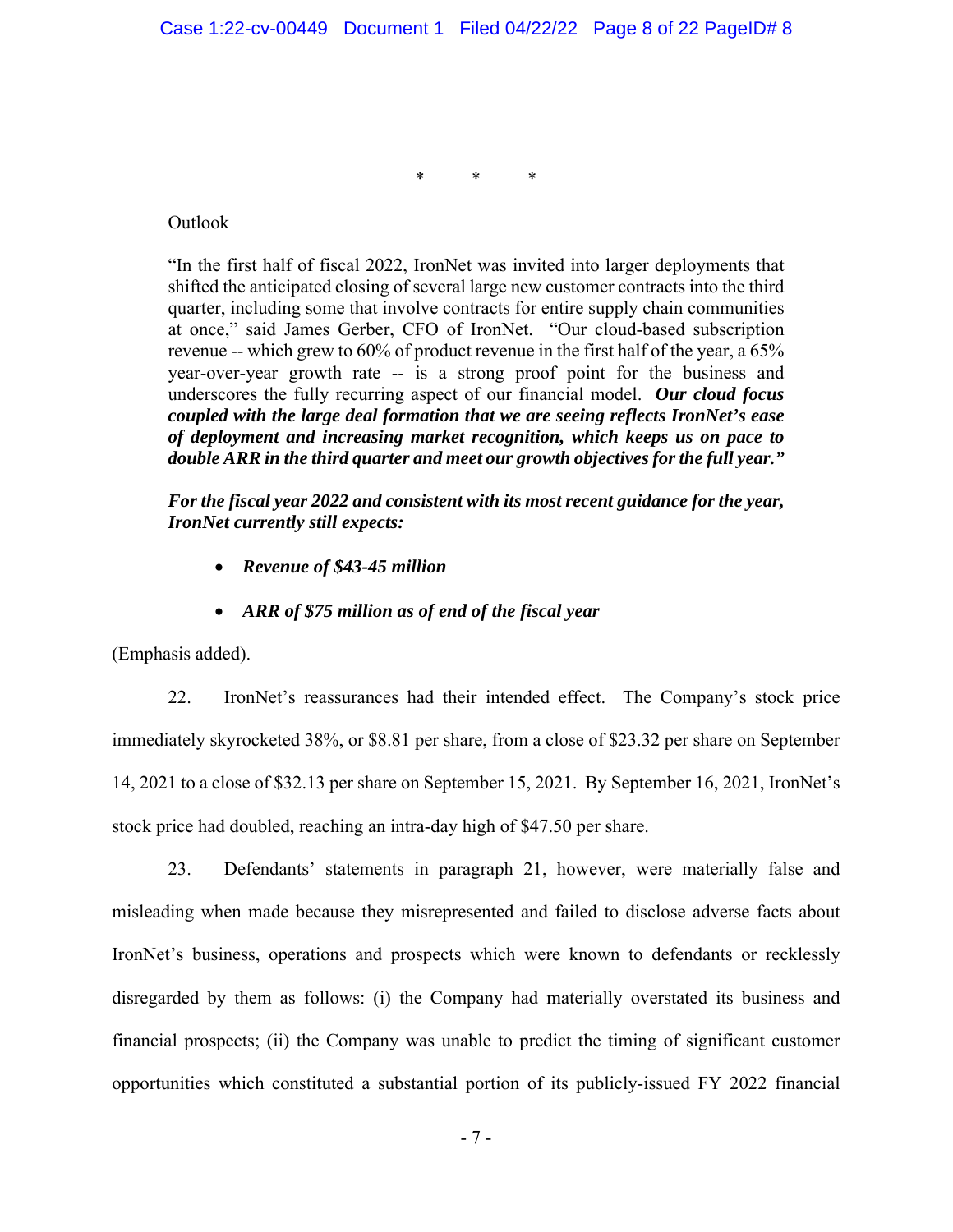\* \* \*

Outlook

"In the first half of fiscal 2022, IronNet was invited into larger deployments that shifted the anticipated closing of several large new customer contracts into the third quarter, including some that involve contracts for entire supply chain communities at once," said James Gerber, CFO of IronNet. "Our cloud-based subscription revenue -- which grew to 60% of product revenue in the first half of the year, a 65% year-over-year growth rate -- is a strong proof point for the business and underscores the fully recurring aspect of our financial model. *Our cloud focus coupled with the large deal formation that we are seeing reflects IronNet's ease of deployment and increasing market recognition, which keeps us on pace to double ARR in the third quarter and meet our growth objectives for the full year."* 

*For the fiscal year 2022 and consistent with its most recent guidance for the year, IronNet currently still expects:* 

- *Revenue of \$43-45 million*
- *ARR of \$75 million as of end of the fiscal year*

(Emphasis added).

22. IronNet's reassurances had their intended effect. The Company's stock price immediately skyrocketed 38%, or \$8.81 per share, from a close of \$23.32 per share on September 14, 2021 to a close of \$32.13 per share on September 15, 2021. By September 16, 2021, IronNet's stock price had doubled, reaching an intra-day high of \$47.50 per share.

23. Defendants' statements in paragraph 21, however, were materially false and misleading when made because they misrepresented and failed to disclose adverse facts about IronNet's business, operations and prospects which were known to defendants or recklessly disregarded by them as follows: (i) the Company had materially overstated its business and financial prospects; (ii) the Company was unable to predict the timing of significant customer opportunities which constituted a substantial portion of its publicly-issued FY 2022 financial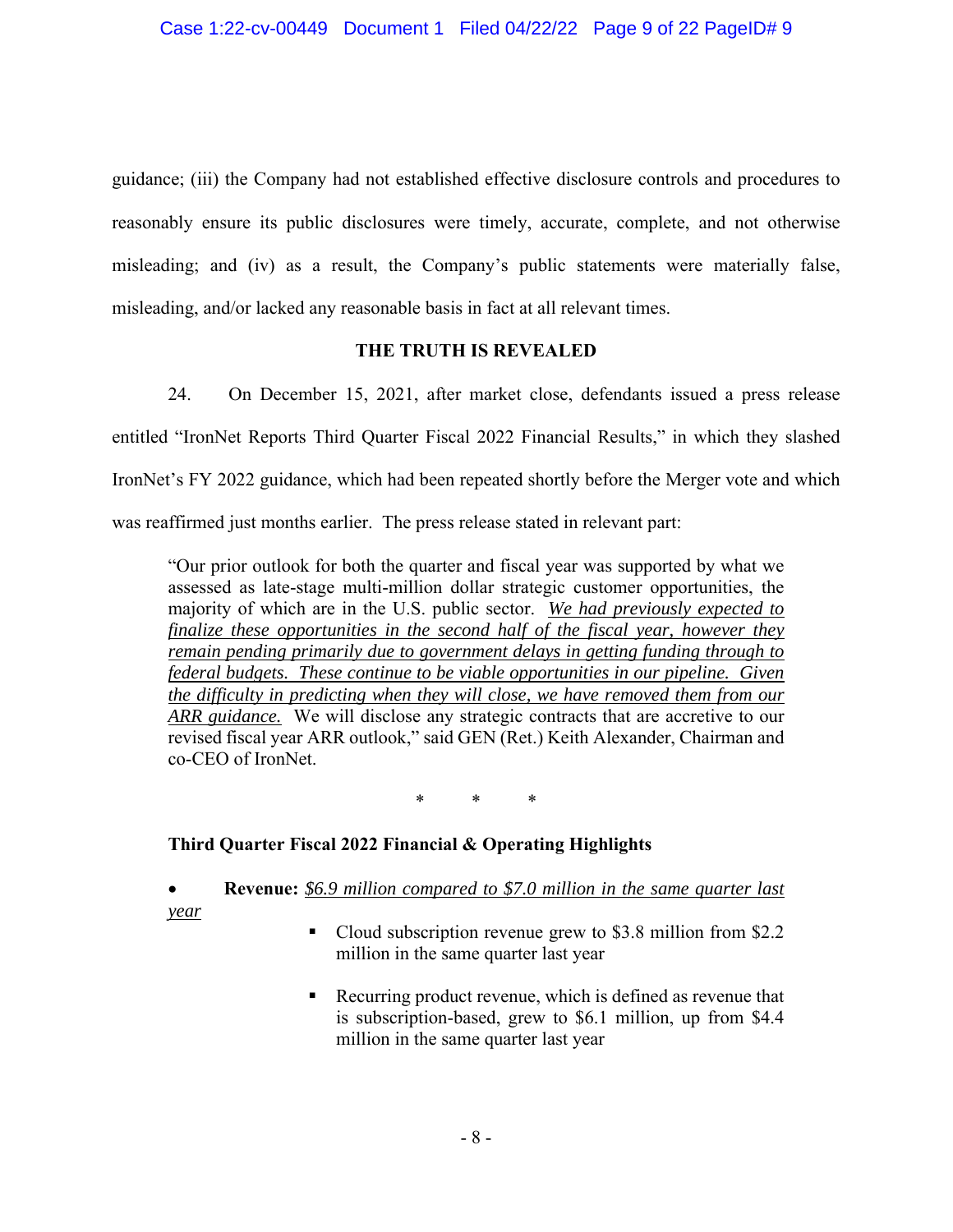guidance; (iii) the Company had not established effective disclosure controls and procedures to reasonably ensure its public disclosures were timely, accurate, complete, and not otherwise misleading; and (iv) as a result, the Company's public statements were materially false, misleading, and/or lacked any reasonable basis in fact at all relevant times.

## **THE TRUTH IS REVEALED**

24. On December 15, 2021, after market close, defendants issued a press release entitled "IronNet Reports Third Quarter Fiscal 2022 Financial Results," in which they slashed IronNet's FY 2022 guidance, which had been repeated shortly before the Merger vote and which was reaffirmed just months earlier. The press release stated in relevant part:

"Our prior outlook for both the quarter and fiscal year was supported by what we assessed as late-stage multi-million dollar strategic customer opportunities, the majority of which are in the U.S. public sector. *We had previously expected to finalize these opportunities in the second half of the fiscal year, however they remain pending primarily due to government delays in getting funding through to federal budgets. These continue to be viable opportunities in our pipeline. Given the difficulty in predicting when they will close, we have removed them from our ARR guidance.* We will disclose any strategic contracts that are accretive to our revised fiscal year ARR outlook," said GEN (Ret.) Keith Alexander, Chairman and co-CEO of IronNet.

\* \* \*

# **Third Quarter Fiscal 2022 Financial & Operating Highlights**

## **Revenue:** *\$6.9 million compared to \$7.0 million in the same quarter last year*

- Cloud subscription revenue grew to \$3.8 million from \$2.2 million in the same quarter last year
- Recurring product revenue, which is defined as revenue that is subscription-based, grew to \$6.1 million, up from \$4.4 million in the same quarter last year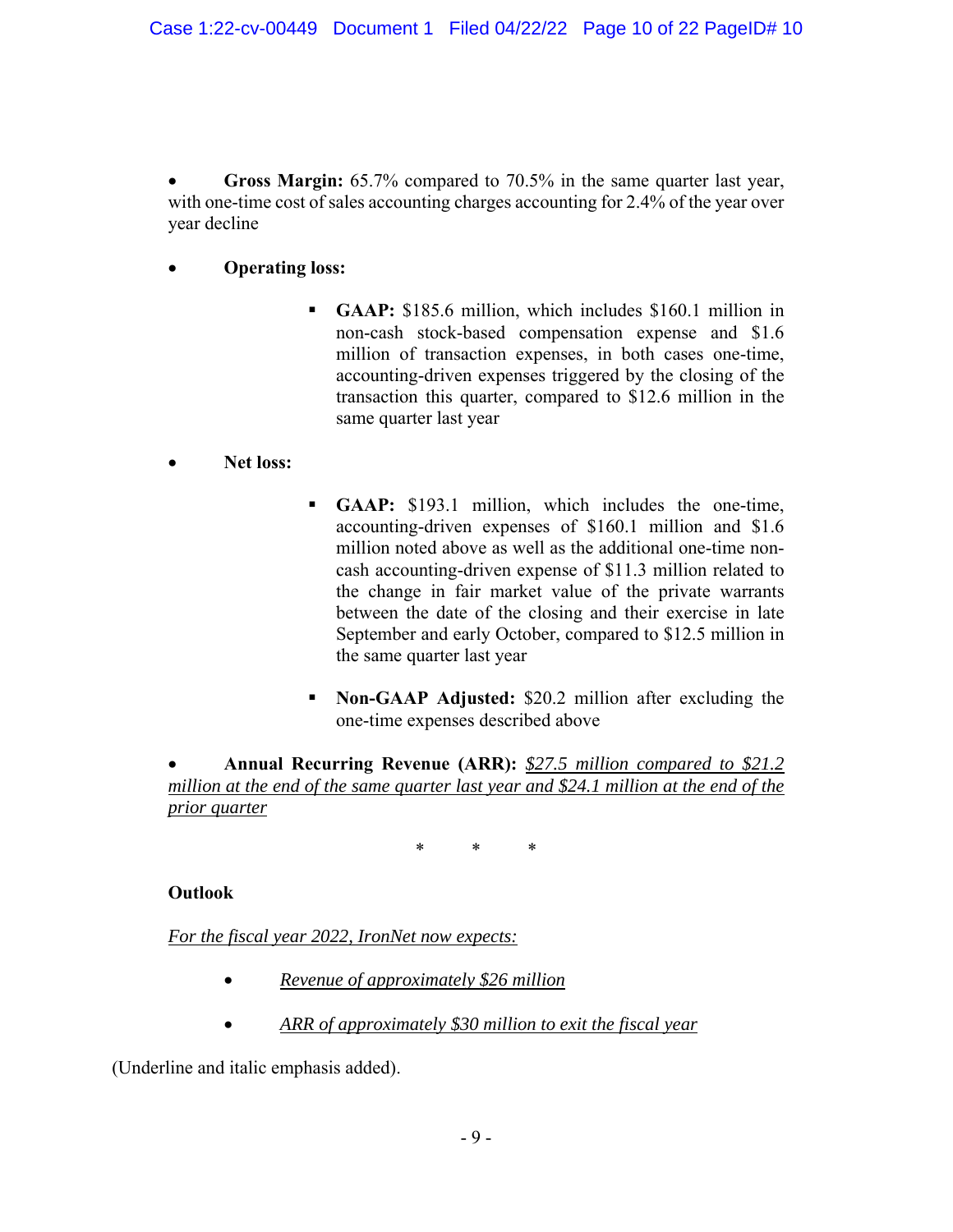**Gross Margin:** 65.7% compared to 70.5% in the same quarter last year, with one-time cost of sales accounting charges accounting for 2.4% of the year over year decline

# **Operating loss:**

- **GAAP:** \$185.6 million, which includes \$160.1 million in non-cash stock-based compensation expense and \$1.6 million of transaction expenses, in both cases one-time, accounting-driven expenses triggered by the closing of the transaction this quarter, compared to \$12.6 million in the same quarter last year
- **Net loss:**
- **GAAP:** \$193.1 million, which includes the one-time, accounting-driven expenses of \$160.1 million and \$1.6 million noted above as well as the additional one-time noncash accounting-driven expense of \$11.3 million related to the change in fair market value of the private warrants between the date of the closing and their exercise in late September and early October, compared to \$12.5 million in the same quarter last year
- **Non-GAAP Adjusted:** \$20.2 million after excluding the one-time expenses described above

 **Annual Recurring Revenue (ARR):** *\$27.5 million compared to \$21.2 million at the end of the same quarter last year and \$24.1 million at the end of the prior quarter* 

\* \* \*

# **Outlook**

*For the fiscal year 2022, IronNet now expects:* 

- *Revenue of approximately \$26 million*
- *ARR of approximately \$30 million to exit the fiscal year*

(Underline and italic emphasis added).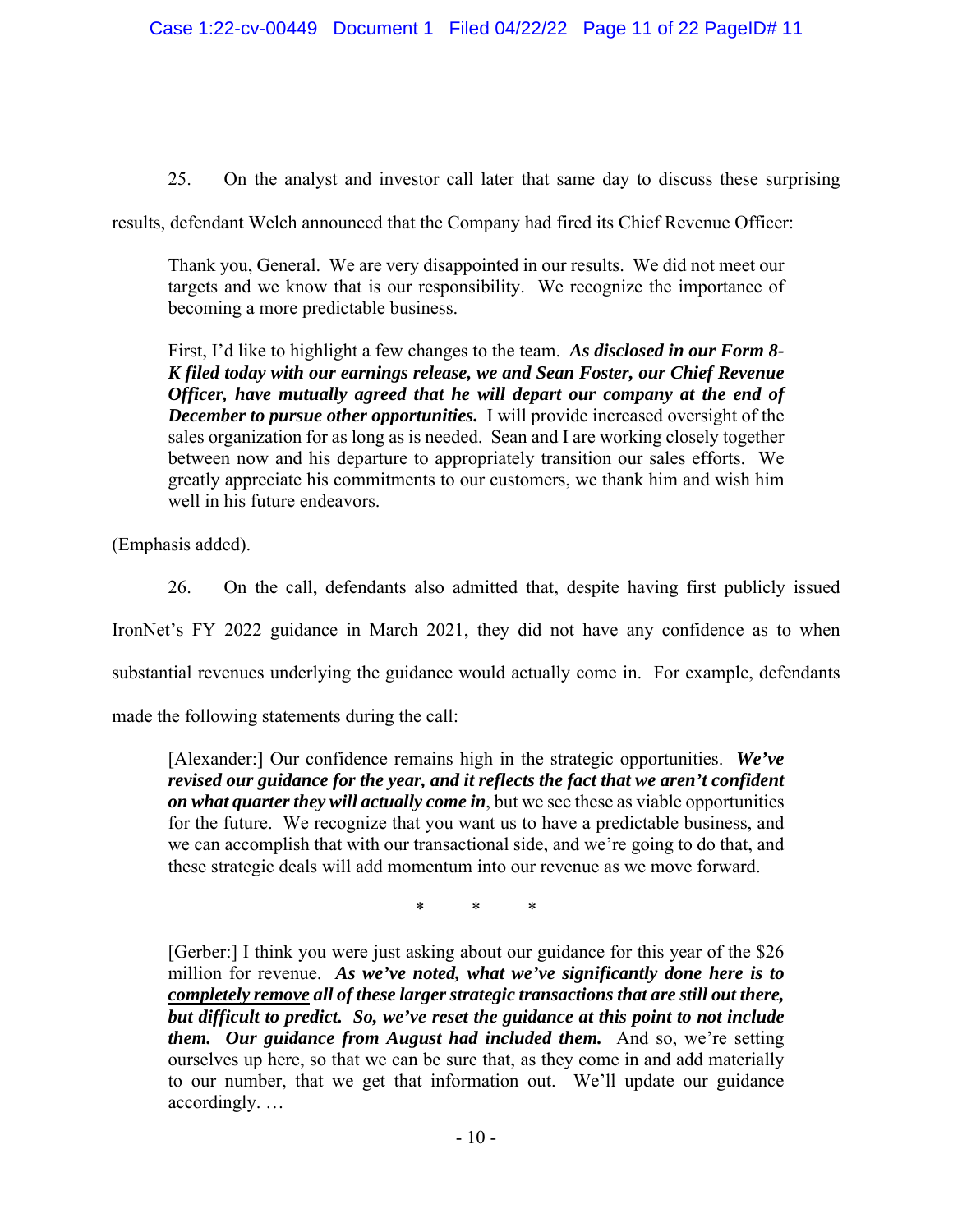25. On the analyst and investor call later that same day to discuss these surprising

results, defendant Welch announced that the Company had fired its Chief Revenue Officer:

Thank you, General. We are very disappointed in our results. We did not meet our targets and we know that is our responsibility. We recognize the importance of becoming a more predictable business.

First, I'd like to highlight a few changes to the team. *As disclosed in our Form 8- K filed today with our earnings release, we and Sean Foster, our Chief Revenue Officer, have mutually agreed that he will depart our company at the end of December to pursue other opportunities.* I will provide increased oversight of the sales organization for as long as is needed. Sean and I are working closely together between now and his departure to appropriately transition our sales efforts. We greatly appreciate his commitments to our customers, we thank him and wish him well in his future endeavors.

(Emphasis added).

26. On the call, defendants also admitted that, despite having first publicly issued IronNet's FY 2022 guidance in March 2021, they did not have any confidence as to when substantial revenues underlying the guidance would actually come in. For example, defendants made the following statements during the call:

[Alexander:] Our confidence remains high in the strategic opportunities. *We've revised our guidance for the year, and it reflects the fact that we aren't confident on what quarter they will actually come in*, but we see these as viable opportunities for the future. We recognize that you want us to have a predictable business, and we can accomplish that with our transactional side, and we're going to do that, and these strategic deals will add momentum into our revenue as we move forward.

\* \* \*

[Gerber:] I think you were just asking about our guidance for this year of the \$26 million for revenue. *As we've noted, what we've significantly done here is to completely remove all of these larger strategic transactions that are still out there, but difficult to predict. So, we've reset the guidance at this point to not include them. Our guidance from August had included them.* And so, we're setting ourselves up here, so that we can be sure that, as they come in and add materially to our number, that we get that information out. We'll update our guidance accordingly. …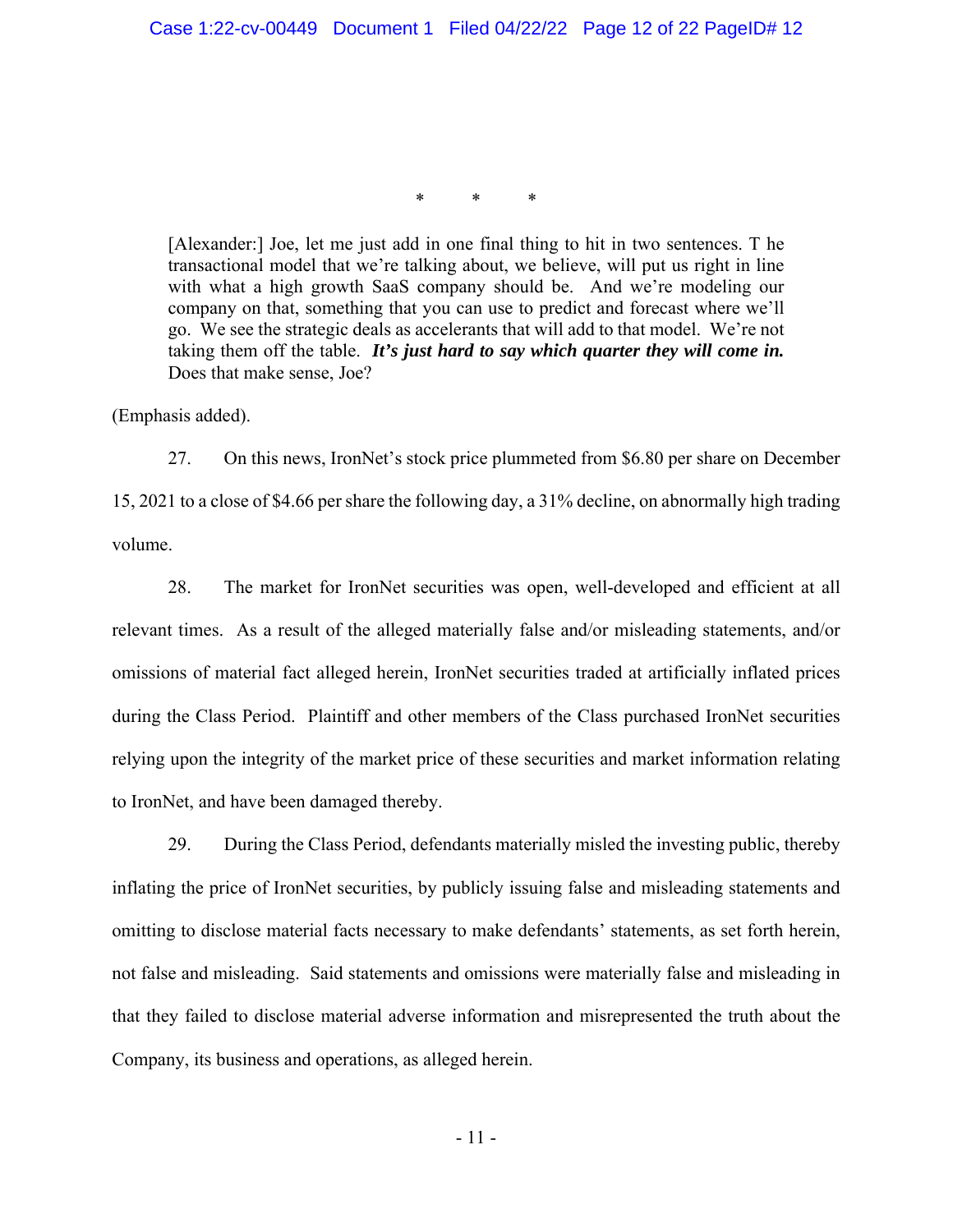\* \* \*

[Alexander:] Joe, let me just add in one final thing to hit in two sentences. T he transactional model that we're talking about, we believe, will put us right in line with what a high growth SaaS company should be. And we're modeling our company on that, something that you can use to predict and forecast where we'll go. We see the strategic deals as accelerants that will add to that model. We're not taking them off the table. *It's just hard to say which quarter they will come in.* Does that make sense, Joe?

(Emphasis added).

27. On this news, IronNet's stock price plummeted from \$6.80 per share on December 15, 2021 to a close of \$4.66 per share the following day, a 31% decline, on abnormally high trading volume.

28. The market for IronNet securities was open, well-developed and efficient at all relevant times. As a result of the alleged materially false and/or misleading statements, and/or omissions of material fact alleged herein, IronNet securities traded at artificially inflated prices during the Class Period. Plaintiff and other members of the Class purchased IronNet securities relying upon the integrity of the market price of these securities and market information relating to IronNet, and have been damaged thereby.

29. During the Class Period, defendants materially misled the investing public, thereby inflating the price of IronNet securities, by publicly issuing false and misleading statements and omitting to disclose material facts necessary to make defendants' statements, as set forth herein, not false and misleading. Said statements and omissions were materially false and misleading in that they failed to disclose material adverse information and misrepresented the truth about the Company, its business and operations, as alleged herein.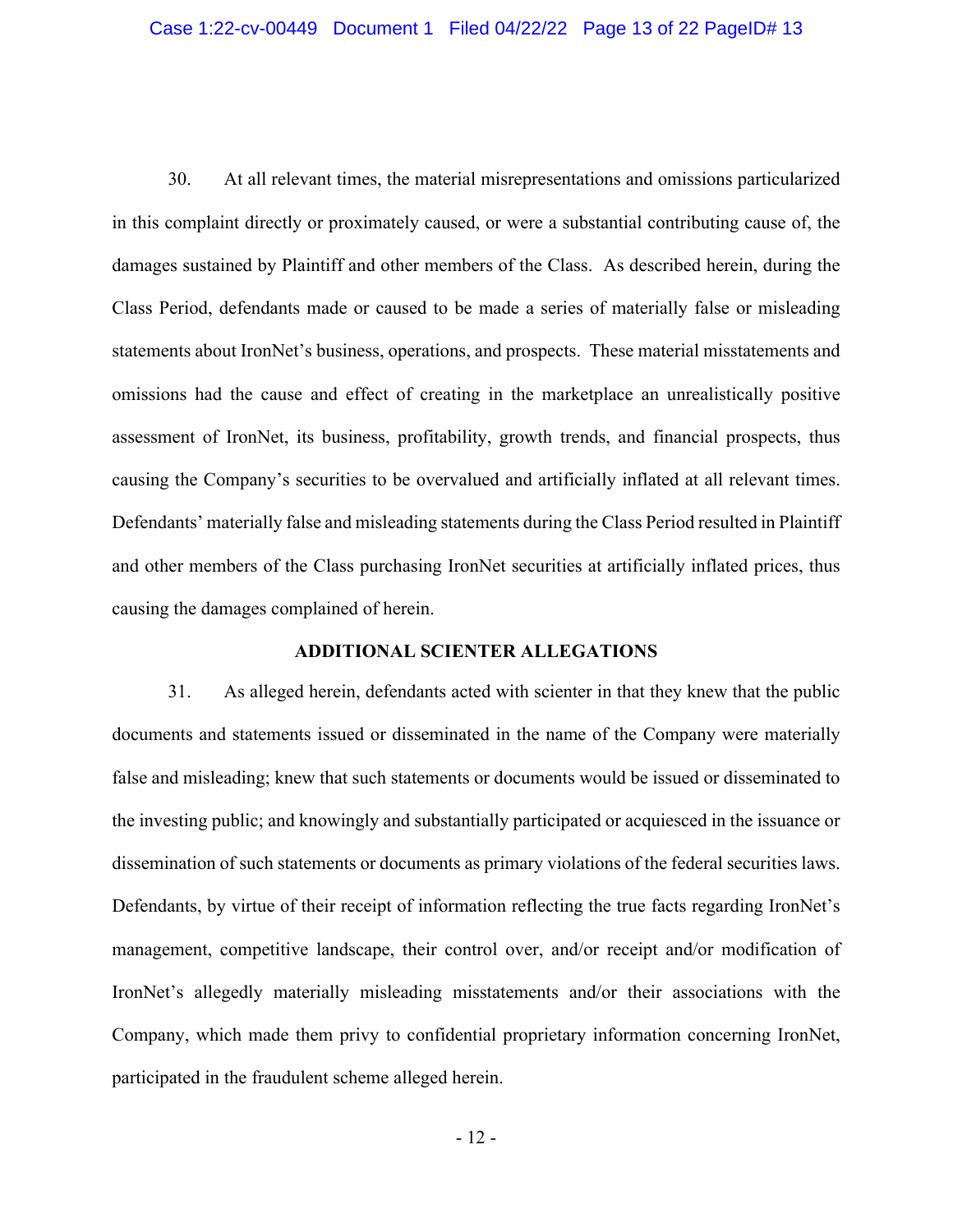30. At all relevant times, the material misrepresentations and omissions particularized in this complaint directly or proximately caused, or were a substantial contributing cause of, the damages sustained by Plaintiff and other members of the Class. As described herein, during the Class Period, defendants made or caused to be made a series of materially false or misleading statements about IronNet's business, operations, and prospects. These material misstatements and omissions had the cause and effect of creating in the marketplace an unrealistically positive assessment of IronNet, its business, profitability, growth trends, and financial prospects, thus causing the Company's securities to be overvalued and artificially inflated at all relevant times. Defendants' materially false and misleading statements during the Class Period resulted in Plaintiff and other members of the Class purchasing IronNet securities at artificially inflated prices, thus causing the damages complained of herein.

### **ADDITIONAL SCIENTER ALLEGATIONS**

31. As alleged herein, defendants acted with scienter in that they knew that the public documents and statements issued or disseminated in the name of the Company were materially false and misleading; knew that such statements or documents would be issued or disseminated to the investing public; and knowingly and substantially participated or acquiesced in the issuance or dissemination of such statements or documents as primary violations of the federal securities laws. Defendants, by virtue of their receipt of information reflecting the true facts regarding IronNet's management, competitive landscape, their control over, and/or receipt and/or modification of IronNet's allegedly materially misleading misstatements and/or their associations with the Company, which made them privy to confidential proprietary information concerning IronNet, participated in the fraudulent scheme alleged herein.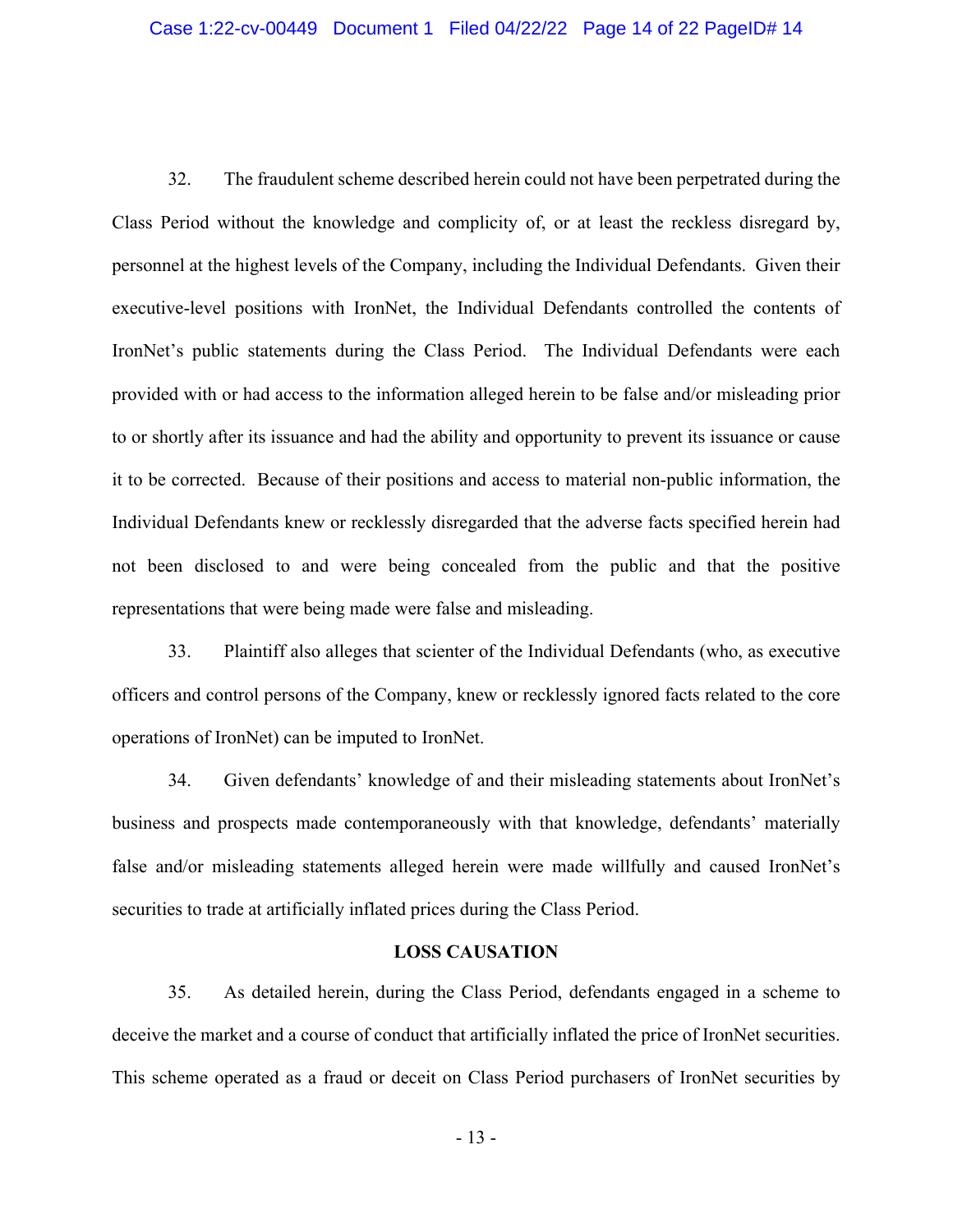32. The fraudulent scheme described herein could not have been perpetrated during the Class Period without the knowledge and complicity of, or at least the reckless disregard by, personnel at the highest levels of the Company, including the Individual Defendants. Given their executive-level positions with IronNet, the Individual Defendants controlled the contents of IronNet's public statements during the Class Period. The Individual Defendants were each provided with or had access to the information alleged herein to be false and/or misleading prior to or shortly after its issuance and had the ability and opportunity to prevent its issuance or cause it to be corrected. Because of their positions and access to material non-public information, the Individual Defendants knew or recklessly disregarded that the adverse facts specified herein had not been disclosed to and were being concealed from the public and that the positive representations that were being made were false and misleading.

33. Plaintiff also alleges that scienter of the Individual Defendants (who, as executive officers and control persons of the Company, knew or recklessly ignored facts related to the core operations of IronNet) can be imputed to IronNet.

34. Given defendants' knowledge of and their misleading statements about IronNet's business and prospects made contemporaneously with that knowledge, defendants' materially false and/or misleading statements alleged herein were made willfully and caused IronNet's securities to trade at artificially inflated prices during the Class Period.

## **LOSS CAUSATION**

35. As detailed herein, during the Class Period, defendants engaged in a scheme to deceive the market and a course of conduct that artificially inflated the price of IronNet securities. This scheme operated as a fraud or deceit on Class Period purchasers of IronNet securities by

- 13 -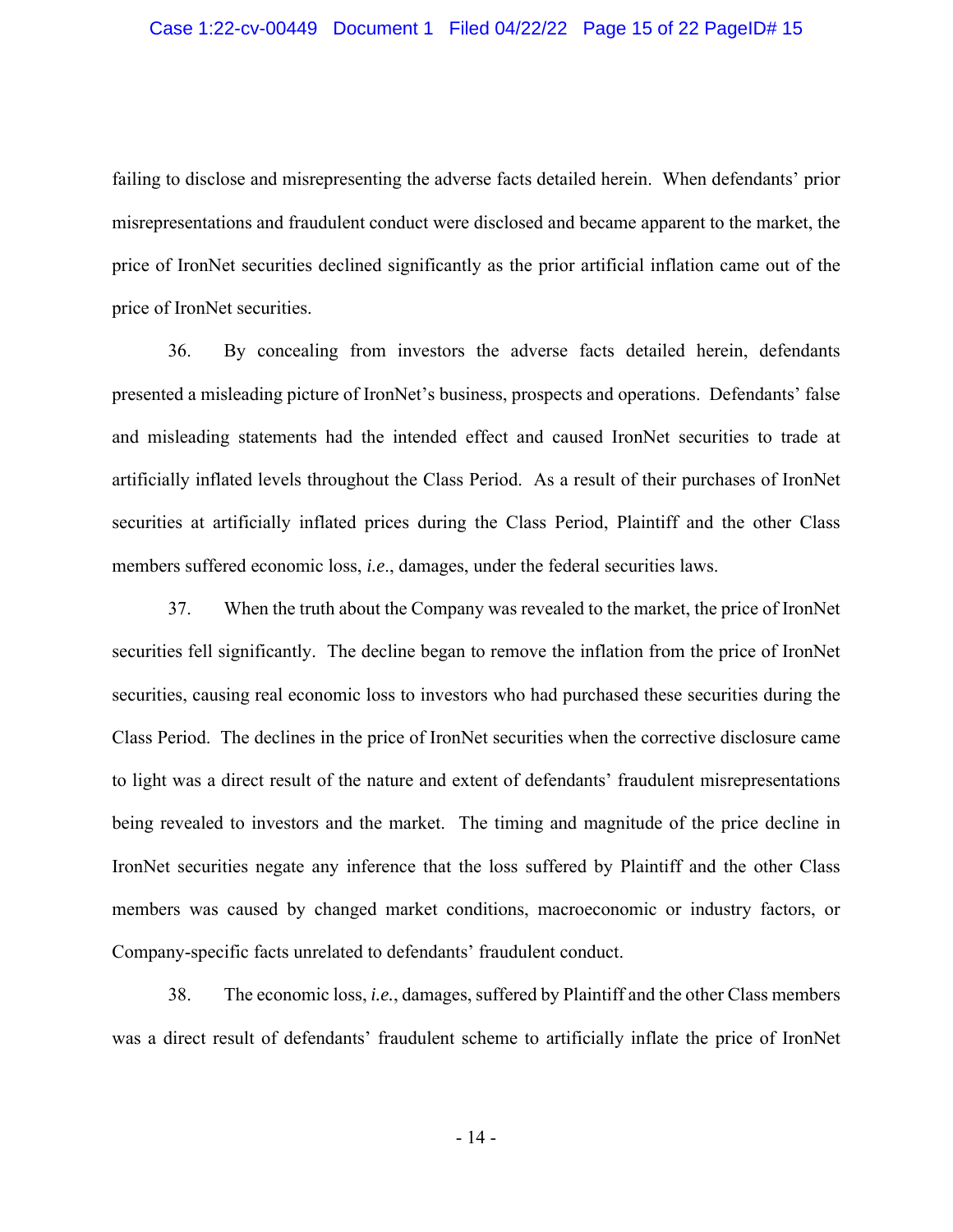failing to disclose and misrepresenting the adverse facts detailed herein. When defendants' prior misrepresentations and fraudulent conduct were disclosed and became apparent to the market, the price of IronNet securities declined significantly as the prior artificial inflation came out of the price of IronNet securities.

36. By concealing from investors the adverse facts detailed herein, defendants presented a misleading picture of IronNet's business, prospects and operations. Defendants' false and misleading statements had the intended effect and caused IronNet securities to trade at artificially inflated levels throughout the Class Period. As a result of their purchases of IronNet securities at artificially inflated prices during the Class Period, Plaintiff and the other Class members suffered economic loss, *i.e*., damages, under the federal securities laws.

37. When the truth about the Company was revealed to the market, the price of IronNet securities fell significantly. The decline began to remove the inflation from the price of IronNet securities, causing real economic loss to investors who had purchased these securities during the Class Period. The declines in the price of IronNet securities when the corrective disclosure came to light was a direct result of the nature and extent of defendants' fraudulent misrepresentations being revealed to investors and the market. The timing and magnitude of the price decline in IronNet securities negate any inference that the loss suffered by Plaintiff and the other Class members was caused by changed market conditions, macroeconomic or industry factors, or Company-specific facts unrelated to defendants' fraudulent conduct.

38. The economic loss, *i.e.*, damages, suffered by Plaintiff and the other Class members was a direct result of defendants' fraudulent scheme to artificially inflate the price of IronNet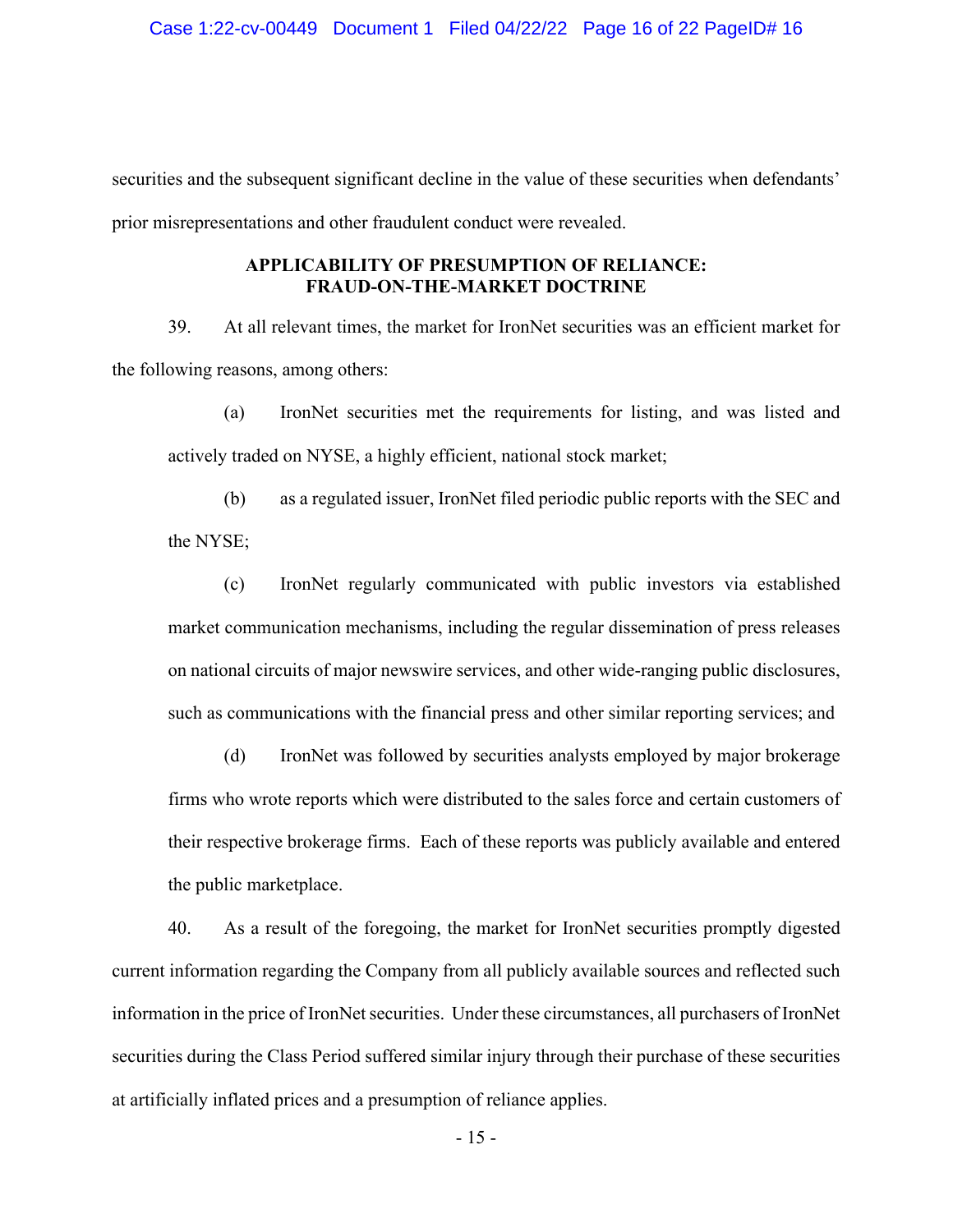securities and the subsequent significant decline in the value of these securities when defendants' prior misrepresentations and other fraudulent conduct were revealed.

## **APPLICABILITY OF PRESUMPTION OF RELIANCE: FRAUD-ON-THE-MARKET DOCTRINE**

39. At all relevant times, the market for IronNet securities was an efficient market for the following reasons, among others:

(a) IronNet securities met the requirements for listing, and was listed and actively traded on NYSE, a highly efficient, national stock market;

(b) as a regulated issuer, IronNet filed periodic public reports with the SEC and the NYSE;

(c) IronNet regularly communicated with public investors via established market communication mechanisms, including the regular dissemination of press releases on national circuits of major newswire services, and other wide-ranging public disclosures, such as communications with the financial press and other similar reporting services; and

(d) IronNet was followed by securities analysts employed by major brokerage firms who wrote reports which were distributed to the sales force and certain customers of their respective brokerage firms. Each of these reports was publicly available and entered the public marketplace.

40. As a result of the foregoing, the market for IronNet securities promptly digested current information regarding the Company from all publicly available sources and reflected such information in the price of IronNet securities. Under these circumstances, all purchasers of IronNet securities during the Class Period suffered similar injury through their purchase of these securities at artificially inflated prices and a presumption of reliance applies.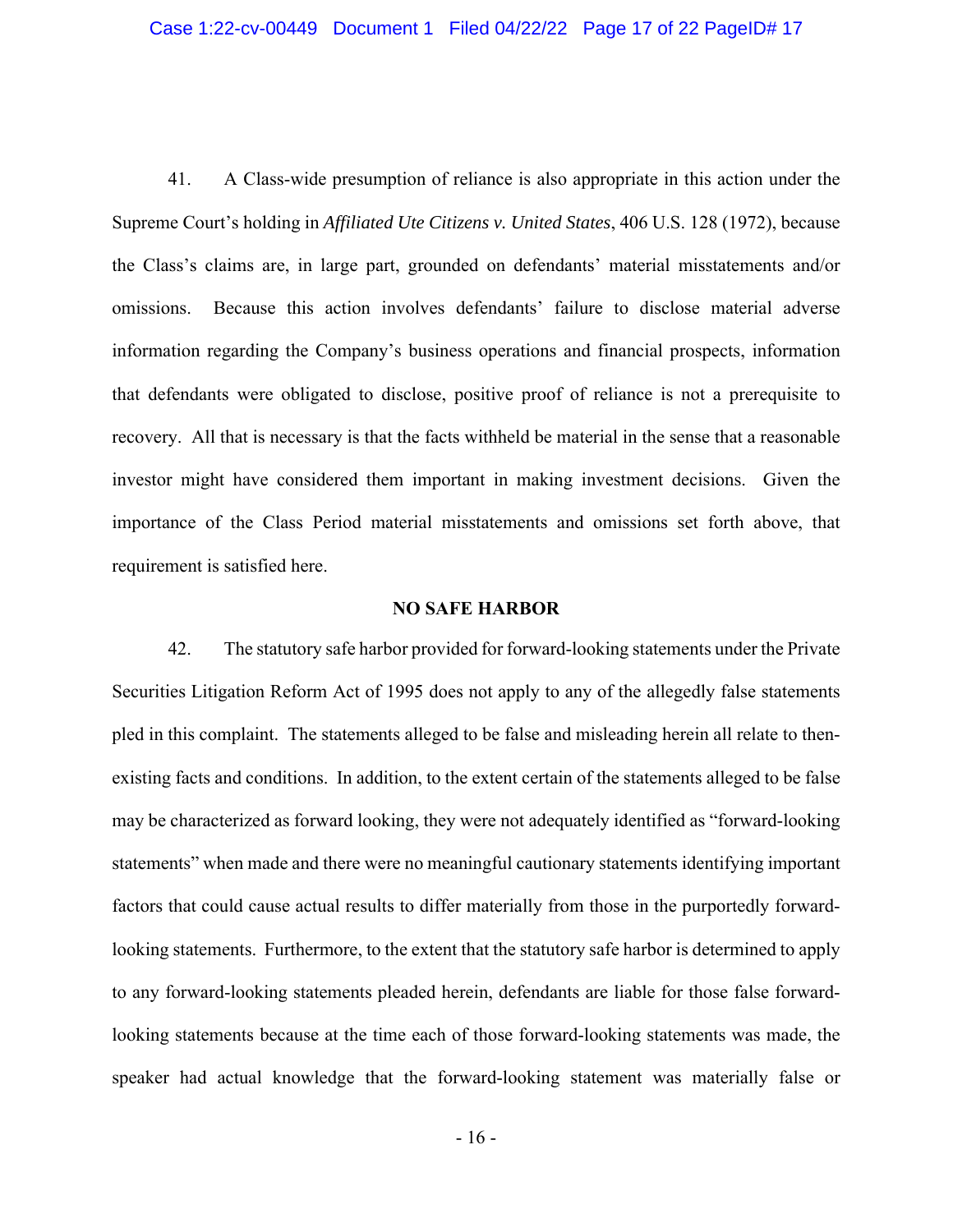41. A Class-wide presumption of reliance is also appropriate in this action under the Supreme Court's holding in *Affiliated Ute Citizens v. United States*, 406 U.S. 128 (1972), because the Class's claims are, in large part, grounded on defendants' material misstatements and/or omissions. Because this action involves defendants' failure to disclose material adverse information regarding the Company's business operations and financial prospects, information that defendants were obligated to disclose, positive proof of reliance is not a prerequisite to recovery. All that is necessary is that the facts withheld be material in the sense that a reasonable investor might have considered them important in making investment decisions. Given the importance of the Class Period material misstatements and omissions set forth above, that requirement is satisfied here.

#### **NO SAFE HARBOR**

42. The statutory safe harbor provided for forward-looking statements under the Private Securities Litigation Reform Act of 1995 does not apply to any of the allegedly false statements pled in this complaint. The statements alleged to be false and misleading herein all relate to thenexisting facts and conditions. In addition, to the extent certain of the statements alleged to be false may be characterized as forward looking, they were not adequately identified as "forward-looking statements" when made and there were no meaningful cautionary statements identifying important factors that could cause actual results to differ materially from those in the purportedly forwardlooking statements. Furthermore, to the extent that the statutory safe harbor is determined to apply to any forward-looking statements pleaded herein, defendants are liable for those false forwardlooking statements because at the time each of those forward-looking statements was made, the speaker had actual knowledge that the forward-looking statement was materially false or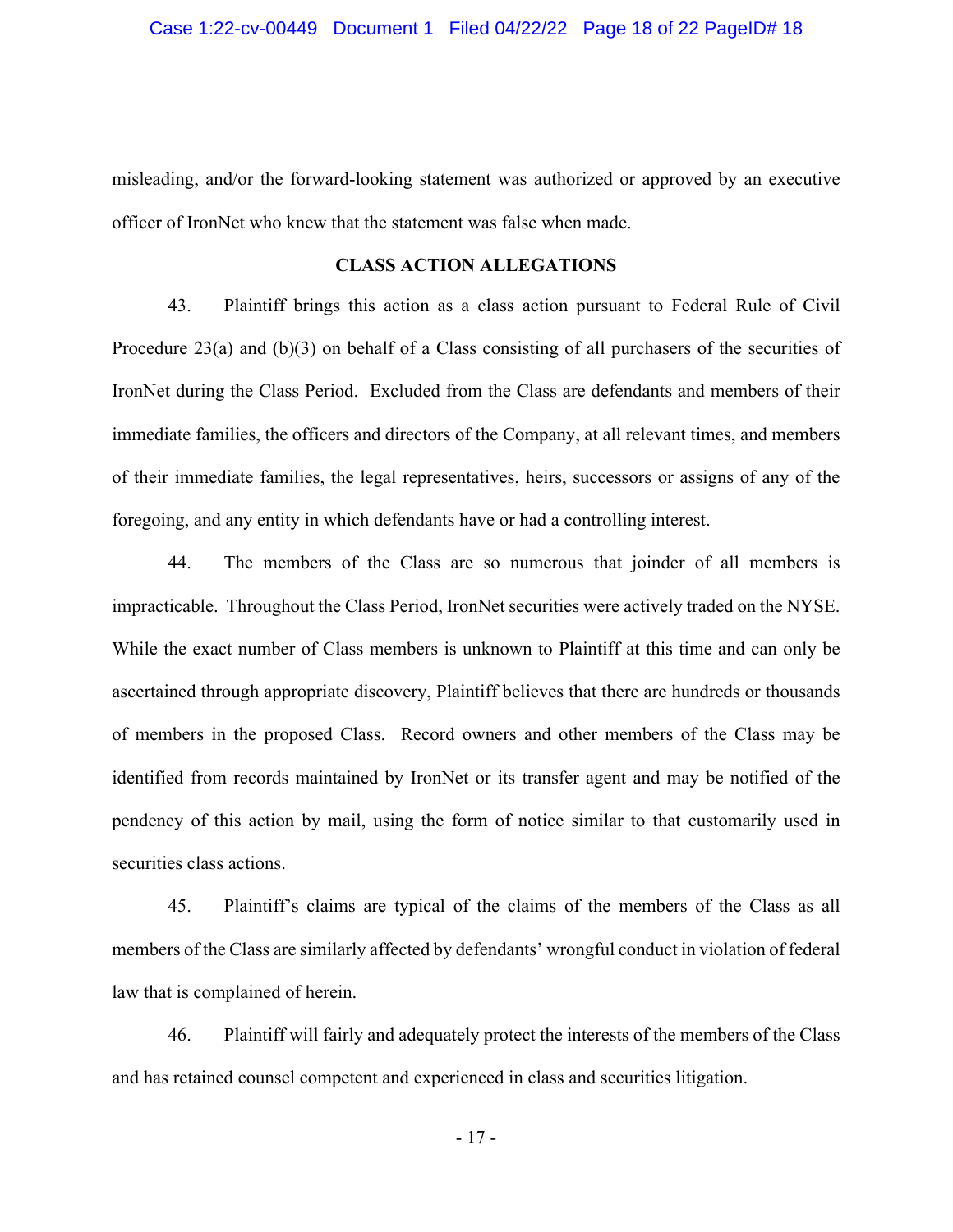misleading, and/or the forward-looking statement was authorized or approved by an executive officer of IronNet who knew that the statement was false when made.

## **CLASS ACTION ALLEGATIONS**

43. Plaintiff brings this action as a class action pursuant to Federal Rule of Civil Procedure 23(a) and (b)(3) on behalf of a Class consisting of all purchasers of the securities of IronNet during the Class Period. Excluded from the Class are defendants and members of their immediate families, the officers and directors of the Company, at all relevant times, and members of their immediate families, the legal representatives, heirs, successors or assigns of any of the foregoing, and any entity in which defendants have or had a controlling interest.

44. The members of the Class are so numerous that joinder of all members is impracticable. Throughout the Class Period, IronNet securities were actively traded on the NYSE. While the exact number of Class members is unknown to Plaintiff at this time and can only be ascertained through appropriate discovery, Plaintiff believes that there are hundreds or thousands of members in the proposed Class. Record owners and other members of the Class may be identified from records maintained by IronNet or its transfer agent and may be notified of the pendency of this action by mail, using the form of notice similar to that customarily used in securities class actions.

45. Plaintiff's claims are typical of the claims of the members of the Class as all members of the Class are similarly affected by defendants' wrongful conduct in violation of federal law that is complained of herein.

46. Plaintiff will fairly and adequately protect the interests of the members of the Class and has retained counsel competent and experienced in class and securities litigation.

- 17 -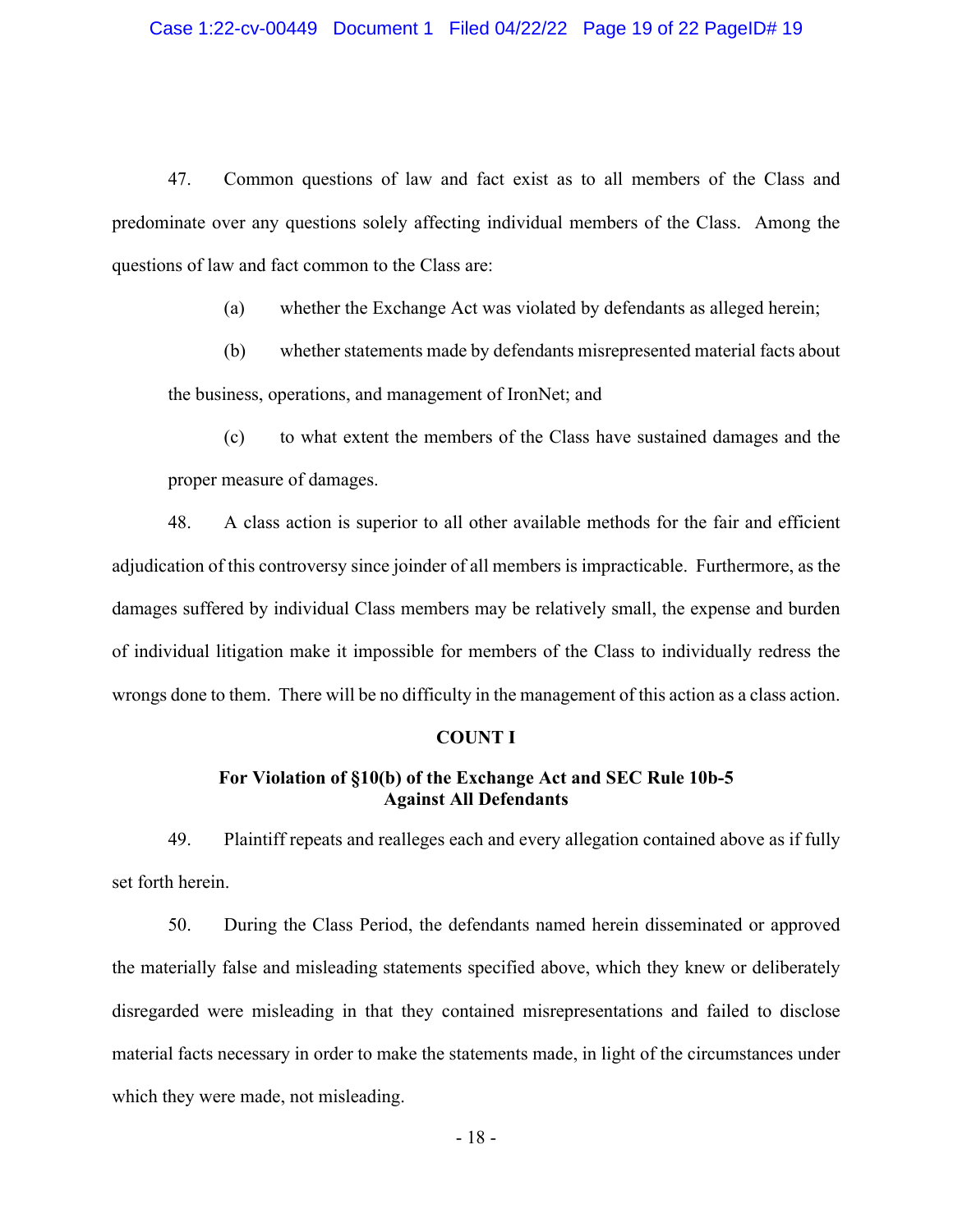47. Common questions of law and fact exist as to all members of the Class and predominate over any questions solely affecting individual members of the Class. Among the questions of law and fact common to the Class are:

(a) whether the Exchange Act was violated by defendants as alleged herein;

(b) whether statements made by defendants misrepresented material facts about the business, operations, and management of IronNet; and

(c) to what extent the members of the Class have sustained damages and the proper measure of damages.

48. A class action is superior to all other available methods for the fair and efficient adjudication of this controversy since joinder of all members is impracticable. Furthermore, as the damages suffered by individual Class members may be relatively small, the expense and burden of individual litigation make it impossible for members of the Class to individually redress the wrongs done to them. There will be no difficulty in the management of this action as a class action.

#### **COUNT I**

## **For Violation of §10(b) of the Exchange Act and SEC Rule 10b-5 Against All Defendants**

49. Plaintiff repeats and realleges each and every allegation contained above as if fully set forth herein.

50. During the Class Period, the defendants named herein disseminated or approved the materially false and misleading statements specified above, which they knew or deliberately disregarded were misleading in that they contained misrepresentations and failed to disclose material facts necessary in order to make the statements made, in light of the circumstances under which they were made, not misleading.

- 18 -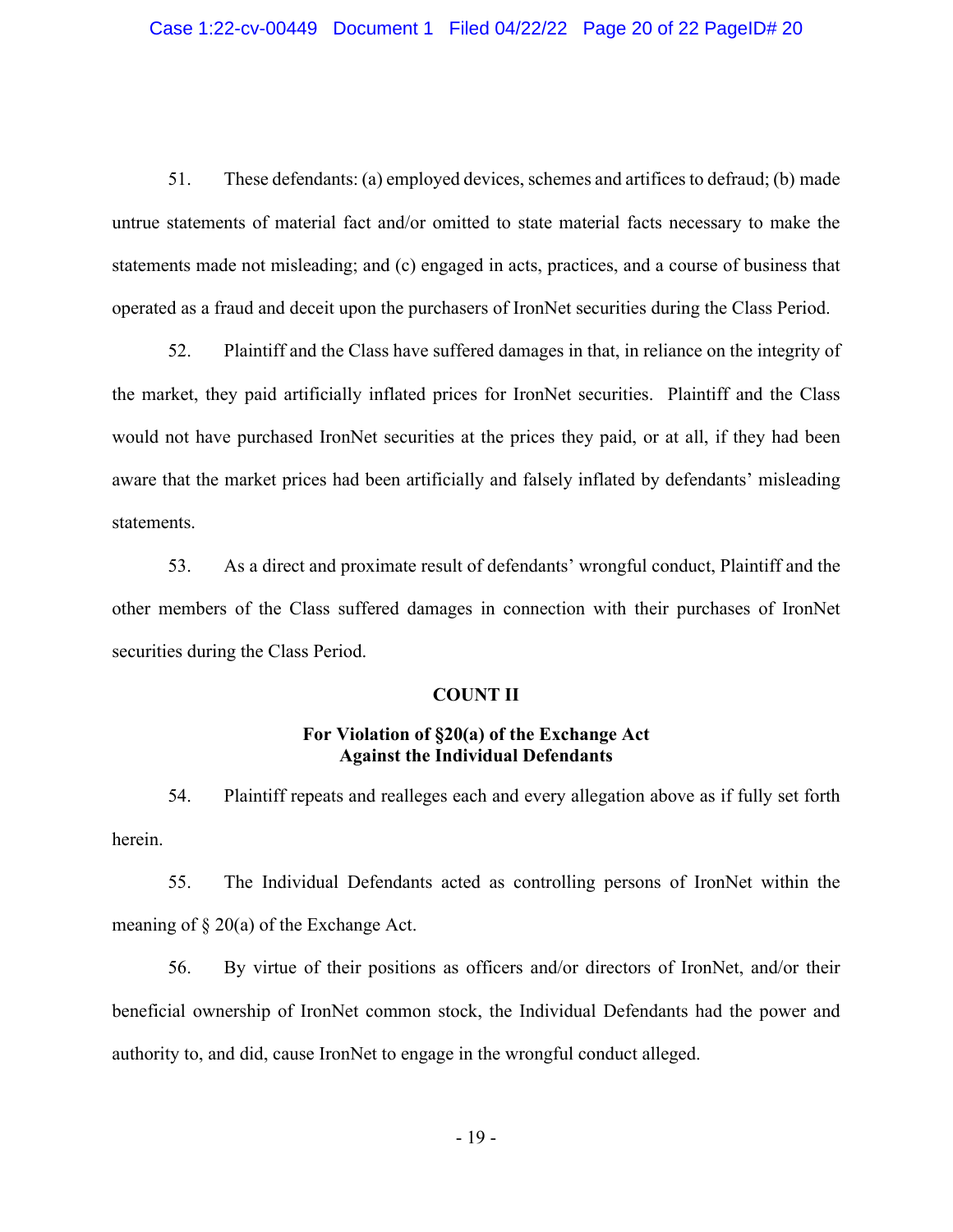51. These defendants: (a) employed devices, schemes and artifices to defraud; (b) made untrue statements of material fact and/or omitted to state material facts necessary to make the statements made not misleading; and (c) engaged in acts, practices, and a course of business that operated as a fraud and deceit upon the purchasers of IronNet securities during the Class Period.

52. Plaintiff and the Class have suffered damages in that, in reliance on the integrity of the market, they paid artificially inflated prices for IronNet securities. Plaintiff and the Class would not have purchased IronNet securities at the prices they paid, or at all, if they had been aware that the market prices had been artificially and falsely inflated by defendants' misleading statements.

53. As a direct and proximate result of defendants' wrongful conduct, Plaintiff and the other members of the Class suffered damages in connection with their purchases of IronNet securities during the Class Period.

### **COUNT II**

## **For Violation of §20(a) of the Exchange Act Against the Individual Defendants**

54. Plaintiff repeats and realleges each and every allegation above as if fully set forth herein.

55. The Individual Defendants acted as controlling persons of IronNet within the meaning of  $\S 20(a)$  of the Exchange Act.

56. By virtue of their positions as officers and/or directors of IronNet, and/or their beneficial ownership of IronNet common stock, the Individual Defendants had the power and authority to, and did, cause IronNet to engage in the wrongful conduct alleged.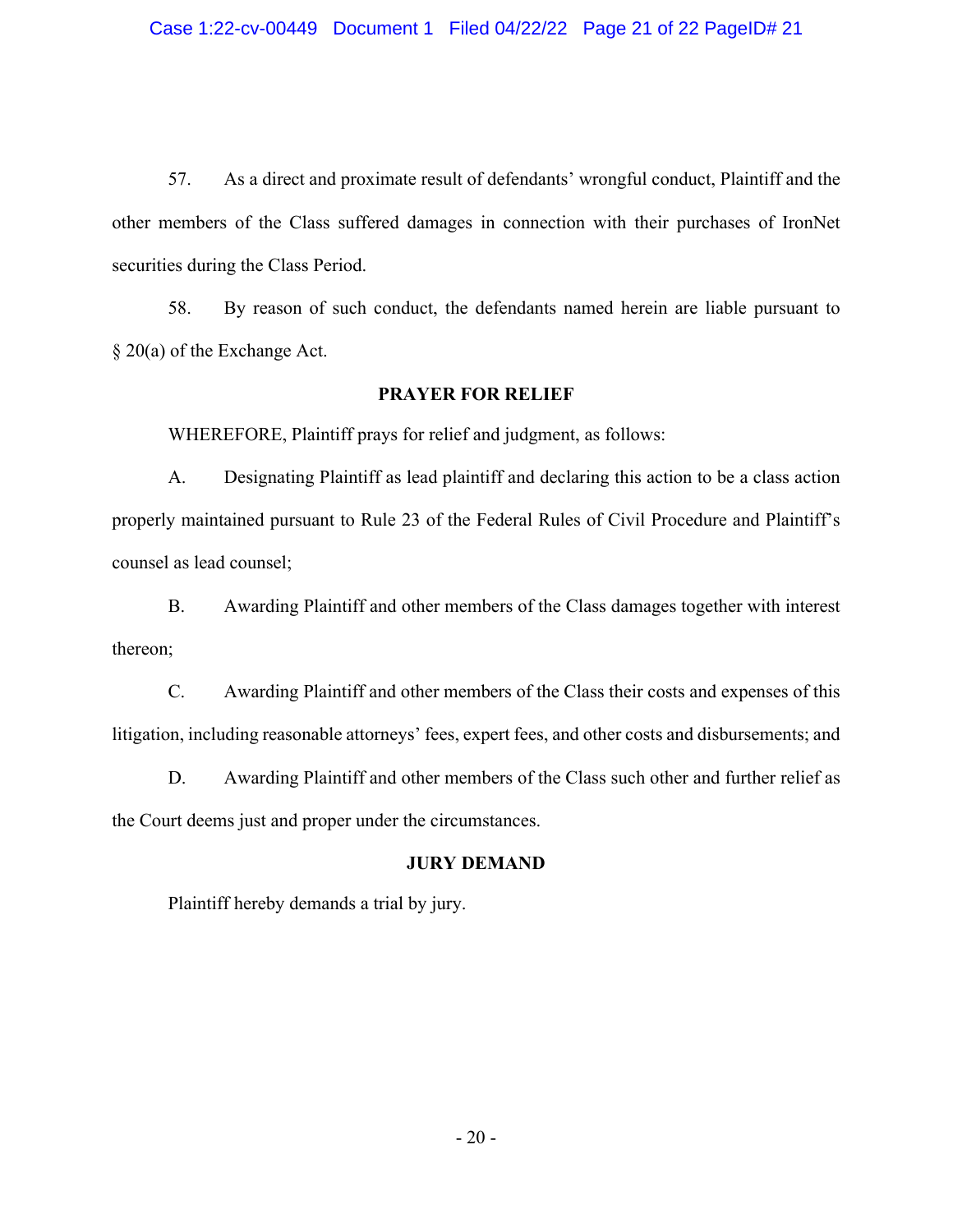57. As a direct and proximate result of defendants' wrongful conduct, Plaintiff and the other members of the Class suffered damages in connection with their purchases of IronNet securities during the Class Period.

58. By reason of such conduct, the defendants named herein are liable pursuant to § 20(a) of the Exchange Act.

## **PRAYER FOR RELIEF**

WHEREFORE, Plaintiff prays for relief and judgment, as follows:

A. Designating Plaintiff as lead plaintiff and declaring this action to be a class action properly maintained pursuant to Rule 23 of the Federal Rules of Civil Procedure and Plaintiff's counsel as lead counsel;

B. Awarding Plaintiff and other members of the Class damages together with interest thereon;

C. Awarding Plaintiff and other members of the Class their costs and expenses of this litigation, including reasonable attorneys' fees, expert fees, and other costs and disbursements; and

D. Awarding Plaintiff and other members of the Class such other and further relief as the Court deems just and proper under the circumstances.

### **JURY DEMAND**

Plaintiff hereby demands a trial by jury.